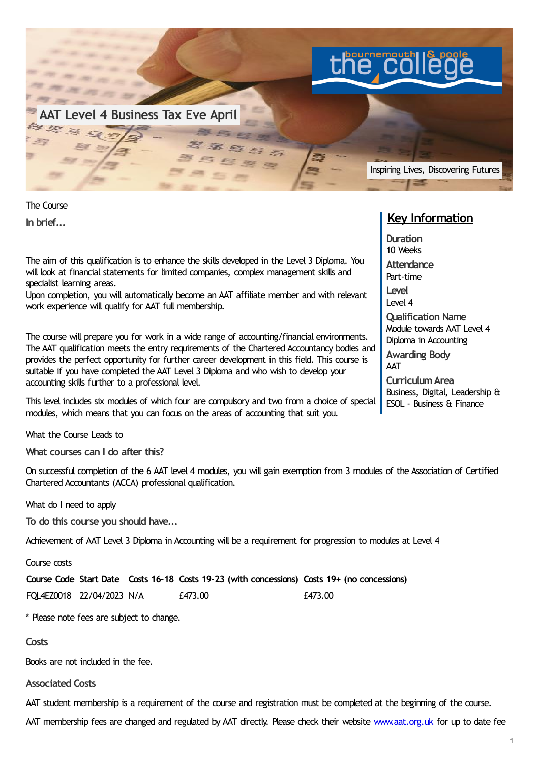

The Course **In brief...**

The aim of this qualification is to enhance the skills developed in the Level 3 Diploma. You will look at financial statements for limited companies, complex management skills and specialist learning areas.

Upon completion, you will automatically become an AAT affiliate member and with relevant work experience will qualify for AAT full membership.

The course will prepare you for work in a wide range of accounting/financial environments. The AAT qualification meets the entry requirements of the Chartered Accountancy bodies and provides the perfect opportunity for further career development in this field. This course is suitable if you have completed the AAT Level 3 Diploma and who wish to develop your accounting skills further to a professional level.

This level includes six modules of which four are compulsory and two from a choice of special modules, which means that you can focus on the areas of accounting that suit you.

What the Course Leads to

**What courses can I do after this?**

On successful completion of the 6 AAT level 4 modules, you will gain exemption from 3 modules of the Association of Certified Chartered Accountants (ACCA) professional qualification.

What do I need to apply

**To do this course you should have...**

Achievement of AAT Level 3 Diploma in Accounting will be a requirement for progression to modules at Level 4

Course costs

|  |  | Course Code Start Date Costs 16-18 Costs 19-23 (with concessions) Costs 19+ (no concessions) |  |
|--|--|----------------------------------------------------------------------------------------------|--|
|--|--|----------------------------------------------------------------------------------------------|--|

| FQL4EZ0018 22/04/2023 N/A | £473.00 | £473.00 |
|---------------------------|---------|---------|
|                           |         |         |

\* Please note fees are subject to change.

**Costs**

Books are not included in the fee.

**Associated Costs**

AAT student membership is a requirement of the course and registration must be completed at the beginning of the course.

AAT membership fees are changed and regulated by AAT directly. Please check their website [www.aat.org.uk](http://www.aat.org.uk/) for up to date fee

## **Key Information**

**Duration** 10 Weeks **Attendance** Part-time **Level** Level 4 **Qualification Name** Module towards AAT Level 4 Diploma in Accounting **Awarding Body** AAT **CurriculumArea** Business, Digital, Leadership &

ESOL - Business & Finance